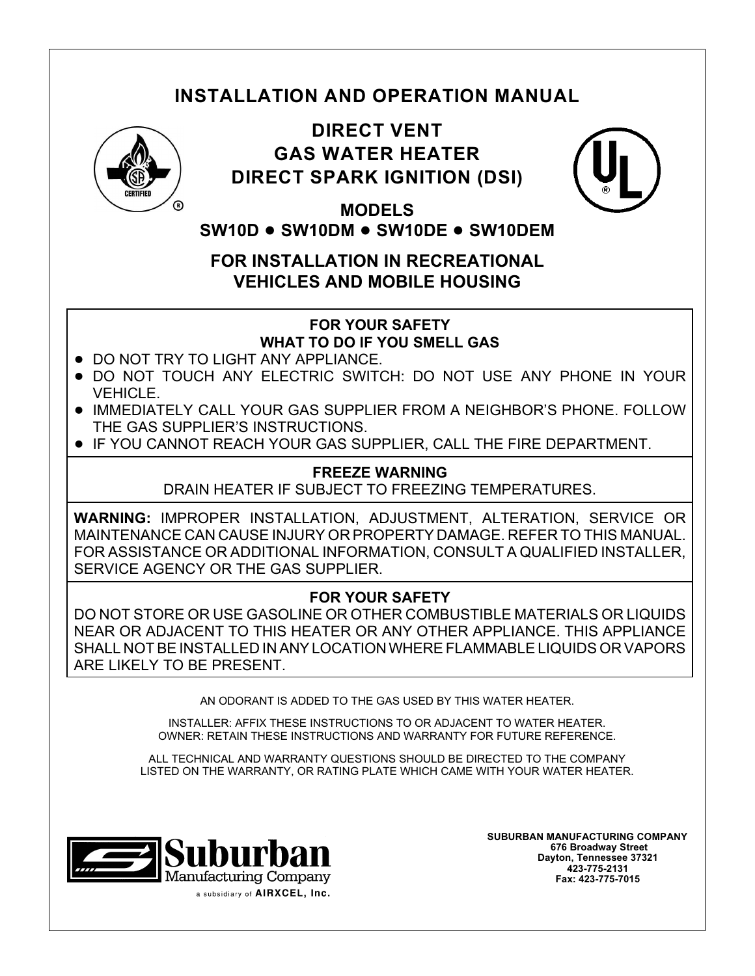# **INSTALLATION AND OPERATION MANUAL**



# **DIRECT VENT GAS WATER HEATER DIRECT SPARK IGNITION (DSI)**



**MODELS SW10D** ! **SW10DM** ! **SW10DE** ! **SW10DEM**

**FOR INSTALLATION IN RECREATIONAL VEHICLES AND MOBILE HOUSING**

**FOR YOUR SAFETY**

**WHAT TO DO IF YOU SMELL GAS**

- . DO NOT TRY TO LIGHT ANY APPLIANCE.
- ! DO NOT TOUCH ANY ELECTRIC SWITCH: DO NOT USE ANY PHONE IN YOUR VEHICLE.
- ! IMMEDIATELY CALL YOUR GAS SUPPLIER FROM A NEIGHBOR'S PHONE. FOLLOW THE GAS SUPPLIER'S INSTRUCTIONS.
- ! IF YOU CANNOT REACH YOUR GAS SUPPLIER, CALL THE FIRE DEPARTMENT.

## **FREEZE WARNING**

DRAIN HEATER IF SUBJECT TO FREEZING TEMPERATURES.

**WARNING:** IMPROPER INSTALLATION, ADJUSTMENT, ALTERATION, SERVICE OR MAINTENANCE CAN CAUSE INJURY OR PROPERTY DAMAGE. REFER TO THIS MANUAL. FOR ASSISTANCE OR ADDITIONAL INFORMATION, CONSULT A QUALIFIED INSTALLER, SERVICE AGENCY OR THE GAS SUPPLIER.

## **FOR YOUR SAFETY**

DO NOT STORE OR USE GASOLINE OR OTHER COMBUSTIBLE MATERIALS OR LIQUIDS NEAR OR ADJACENT TO THIS HEATER OR ANY OTHER APPLIANCE. THIS APPLIANCE SHALL NOT BE INSTALLED IN ANY LOCATION WHERE FLAMMABLE LIQUIDS OR VAPORS ARE LIKELY TO BE PRESENT.

AN ODORANT IS ADDED TO THE GAS USED BY THIS WATER HEATER.

INSTALLER: AFFIX THESE INSTRUCTIONS TO OR ADJACENT TO WATER HEATER. OWNER: RETAIN THESE INSTRUCTIONS AND WARRANTY FOR FUTURE REFERENCE.

ALL TECHNICAL AND WARRANTY QUESTIONS SHOULD BE DIRECTED TO THE COMPANY LISTED ON THE WARRANTY, OR RATING PLATE WHICH CAME WITH YOUR WATER HEATER.



**SUBURBAN MANUFACTURING COMPANY 676 Broadway Street Dayton, Tennessee 37321 423-775-2131 Fax: 423-775-7015**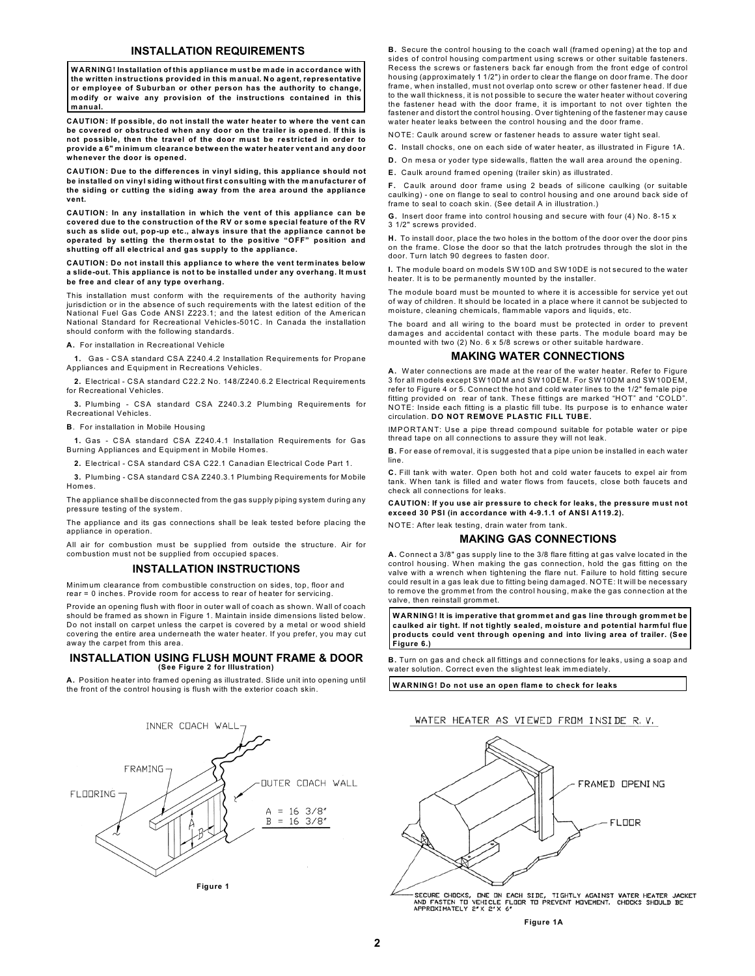#### **INSTALLATION REQUIREMENTS**

**WARNING! Installation of this appliance m ust be made in accordance with the written instructions provided in this m anual. No agent, representative or employee of Suburban or other person has the authority to change, m odify or waive any provision of the instructions contained in this m anual.**

**CAUTION: If possible, do not install the water heater to where the vent can be covered or obstructed when any door on the trailer is opened. If this is not possible, then the travel of the door must be restricted in order to provide a 6" minim um clearance between the water heater vent and any door whenever the door is opened.**

**CAUTION: Due to the differences in vinyl siding, this appliance should not be installed on vinyl siding without first consulting with the manufacturer of the siding or cutting the siding away from the area around the appliance vent.**

**CAUTION: In any installation in which the vent of this appliance can be covered due to the construction of the RV or som e special feature of the RV such as slide out, pop-up etc., always insure that the appliance cannot be operated by setting the therm ostat to the positive "OFF" position and shutting off all electrical and gas supply to the appliance.**

**CAUTION: Do not install this appliance to where the vent term inates below a slide-out. This appliance is not to be installed under any overhang. It must be free and clear of any type overhang.**

This installation must conform with the requirements of the authority having jurisdiction or in the absence of such requirements with the latest edition of the National Fuel Gas Code ANSI Z223.1; and the latest edition of the American National Standard for Recreational Vehicles-501C. In Canada the installation should conform with the following standards.

**A.** For installation in Recreational Vehicle

**1.** Gas - CSA standard CSA Z240.4.2 Installation Requirements for Propane Appliances and Equipment in Recreations Vehicles.

**2.** Electrical - CSA standard C22.2 No. 148/Z240.6.2 Electrical Requirements for Recreational Vehicles.

**3.** Plumbing - CSA standard CSA Z240.3.2 Plumbing Requirements for Recreational Vehicles.

**B**. For installation in Mobile Housing

**1.** Gas - C SA standard CSA Z240.4.1 Installation Requirements for Gas Burning Appliances and Equipment in Mobile Homes.

**2.** Electrical - CSA standard CSA C22.1 Canadian Electrical Code Part 1.

**3.** Plumbing - CSA standard CSA Z240.3.1 Plumbing Requirements for Mobile Homes.

The appliance shall be disconnected from the gas supply piping system during any pressure testing of the system.

The appliance and its gas connections shall be leak tested before placing the appliance in operation.

All air for combustion must be supplied from outside the structure. Air for combustion must not be supplied from occupied spaces.

#### **INSTALLATION INSTRUCTIONS**

Minimum clearance from combustible construction on sides, top, floor and rear = 0 inches. Provide room for access to rear of heater for servicing.

Provide an opening flush with floor in outer wall of coach as shown. Wall of coach should be framed as shown in Figure 1. Maintain inside dimensions listed below. Do not install on carpet unless the carpet is covered by a metal or wood shield covering the entire area underneath the water heater. If you prefer, you may cut away the carpet from this area.

#### **INSTALLATION USING FLUSH MOUNT FRAME & DOOR (See Figure 2 for Illustration)**

**A.** Position heater into framed opening as illustrated. Slide unit into opening until the front of the control housing is flush with the exterior coach skin.



**B.** Secure the control housing to the coach wall (framed opening) at the top and sides of control housing compartment using screws or other suitable fasteners. Recess the screws or fasteners back far enough from the front edge of control housing (approximately 1 1/2") in order to clear the flange on door frame. The door frame, when installed, must not overlap onto screw or other fastener head. If due to the wall thickness, it is not possible to secure the water heater without covering the fastener head with the door frame, it is important to not over tighten the fastener and distort the control housing. Over tightening of the fastener may cause water heater leaks between the control housing and the door frame.

NOTE: Caulk around screw or fastener heads to assure water tight seal.

**C.** Install chocks, one on each side of water heater, as illustrated in Figure 1A.

**D.** On mesa or yoder type sidewalls, flatten the wall area around the opening.

**E.** Caulk around framed opening (trailer skin) as illustrated.

**F.** Caulk around door frame using 2 beads of silicone caulking (or suitable caulking) - one on flange to seal to control housing and one around back side of frame to seal to coach skin. (See detail A in illustration.)

**G.** Insert door frame into control housing and secure with four (4) No. 8-15 x 3 1/2" screws provided.

**H.** To install door, place the two holes in the bottom of the door over the door pins on the frame. Close the door so that the latch protrudes through the slot in the door. Turn latch 90 degrees to fasten door.

**I.** The module board on models SW10D and SW10DE is not secured to the water heater. It is to be permanently mounted by the installer.

The module board must be mounted to where it is accessible for service yet out of way of children. It should be located in a place where it cannot be subjected to moisture, cleaning chemicals, flammable vapors and liquids, etc.

The board and all wiring to the board must be protected in order to prevent dam ages and accidental contact with these parts. The module board may be mounted with two (2) No. 6 x 5/8 screws or other suitable hardware.

#### **MAKING WATER CONNECTIONS**

**A.** Water connections are made at the rear of the water heater. Refer to Figure 3 for all models except SW10DM and SW10DEM. For SW10DM and SW10DEM, refer to Figure 4 or 5. Connect the hot and cold water lines to the 1/2" female pipe fitting provided on rear of tank. These fittings are marked "HOT" and "COLD". NOTE: Inside each fitting is a plastic fill tube. Its purpose is to enhance water circulation. **DO NOT REMOVE PLASTIC FILL TUBE.**

IMPORTANT: Use a pipe thread compound suitable for potable water or pipe thread tape on all connections to assure they will not leak.

**B.** For ease of removal, it is suggested that a pipe union be installed in each water line.

**C.** Fill tank with water. Open both hot and cold water faucets to expel air from tank. When tank is filled and water flows from faucets, close both faucets and check all connections for leaks.

**CAUTION: If you use air pressure to check for leaks, the pressure must not exceed 30 PSI (in accordance with 4-9.1.1 of ANSI A119.2).**

## NOTE: After leak testing, drain water from tank.

### **MAKING GAS CONNECTIONS**

**A.** Connect a 3/8" gas supply line to the 3/8 flare fitting at gas valve located in the control housing. When making the gas connection, hold the gas fitting on the valve with a wrench when tightening the flare nut. Failure to hold fitting secure could result in a gas leak due to fitting being damaged. NOTE: It will be necessary to remove the grommet from the control housing, m ake the gas connection at the valve, then reinstall grommet.

**WARNING! It is im perative that grom m et and gas line through grom m et be caulked air tight. If not tightly sealed, m oisture and potential harm ful flue products could vent through opening and into living area of trailer. (See Figure 6.)**

**B.** Turn on gas and check all fittings and connections for leaks, using a soap and water solution. Correct even the slightest leak immediately.

**WARNING! Do not use an open flame to check for leaks**

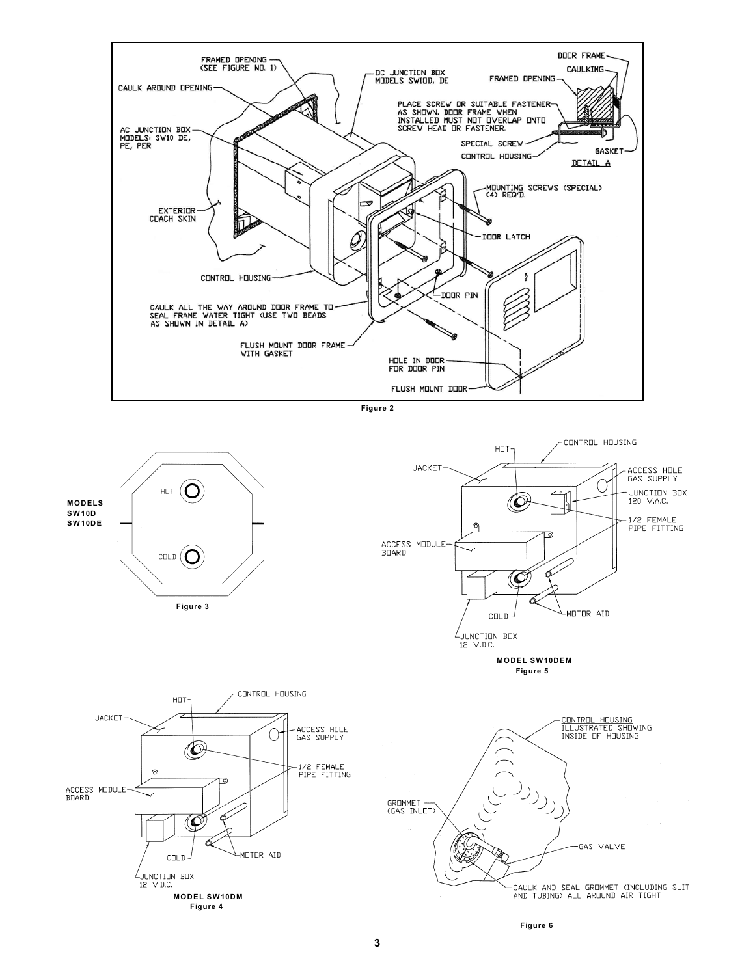







**MODEL SW10DEM Figure 5**





**Figure 6**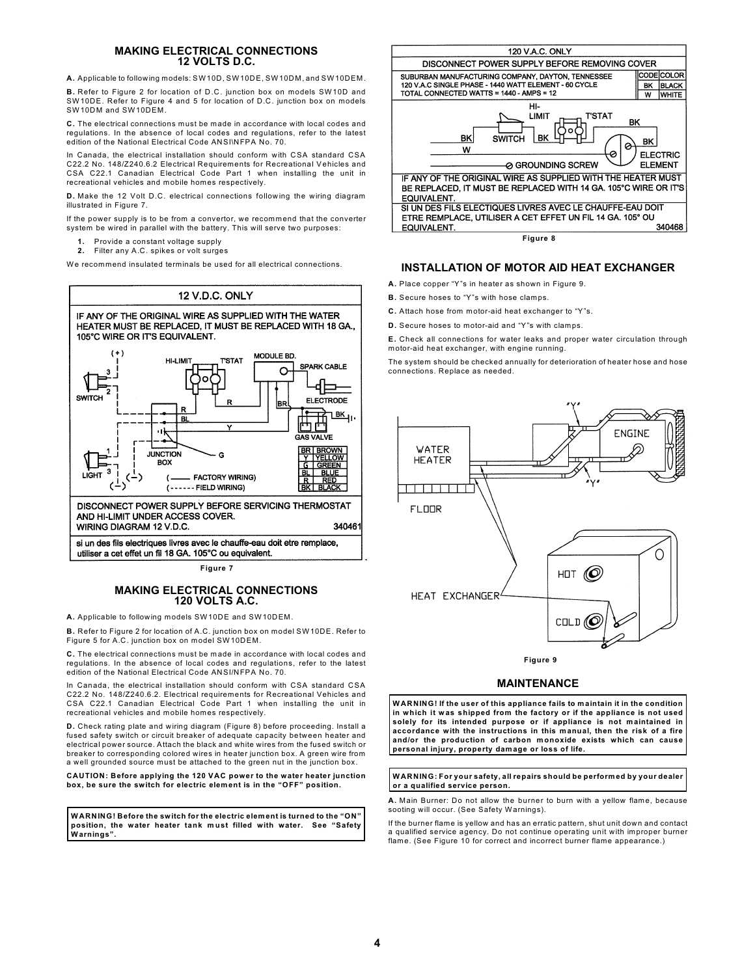### **MAKING ELECTRICAL CONNECTIONS 12 VOLTS D.C.**

**A.** Applicable to following models: SW10D, SW10DE, SW10DM, and SW10DEM.

**B.** Refer to Figure 2 for location of D.C. junction box on models SW10D and SW10DE. Refer to Figure 4 and 5 for location of D.C. junction box on models SW10DM and SW10DEM.

**C.** The electrical connections must be made in accordance with local codes and regulations. In the absence of local codes and regulations, refer to the latest edition of the National Electrical Code ANSI\NFPA No. 70.

In Canada, the electrical installation should conform with CSA standard CSA C22.2 No. 148/Z240.6.2 Electrical Requirements for Recreational Vehicles and CSA C22.1 Canadian Electrical Code Part 1 when installing the unit in recreational vehicles and mobile homes respectively.

**D.** Make the 12 Volt D.C. electrical connections following the wiring diagram illustrated in Figure 7.

If the power supply is to be from a convertor, we recommend that the converter system be wired in parallel with the battery. This will serve two purposes:

- **1.** Provide a constant voltage supply
- **2.** Filter any A.C. spikes or volt surges

We recommend insulated terminals be used for all electrical connections.



utiliser a cet effet un fil 18 GA. 105°C ou equivalent.

**Figure 7**

#### **MAKING ELECTRICAL CONNECTIONS 120 VOLTS A.C.**

**A.** Applicable to following models SW10DE and SW10DEM.

**B.** Refer to Figure 2 for location of A.C. junction box on model SW10DE. Refer to Figure 5 for A.C. junction box on model SW10DEM.

**C.** The electrical connections must be m ade in accordance with local codes and regulations. In the absence of local codes and regulations, refer to the latest edition of the National Electrical Code ANSI/NFPA No. 70.

In Canada, the electrical installation should conform with CSA standard CSA C22.2 No. 148/Z240.6.2. Electrical requirements for Recreational Vehicles and CSA C22.1 Canadian Electrical Code Part 1 when installing the unit in recreational vehicles and mobile homes respectively.

**D.** Check rating plate and wiring diagram (Figure 8) before proceeding. Install a fused safety switch or circuit breaker of adequate capacity between heater and electrical power source. Attach the black and white wires from the fused switch or breaker to corresponding colored wires in heater junction box. A green wire from a well grounded source must be attached to the green nut in the junction box.

**CAUTION: Before applying the 120 VAC power to the water heater junction box, be sure the switch for electric element is in the "OFF" position.**

**WARNING! Before the switch for the electric elem ent is turned to the "ON" position, the water heater tank m ust filled with water. See "Safety Warnings".**



**Figure 8**

### **INSTALLATION OF MOTOR AID HEAT EXCHANGER**

**A.** Place copper "Y"s in heater as shown in Figure 9.

**B.** Secure hoses to "Y"s with hose clamps.

- **C.** Attach hose from motor-aid heat exchanger to "Y"s.
- **D.** Secure hoses to motor-aid and "Y"s with clamps.

**E.** Check all connections for water leaks and proper water circulation through motor-aid heat exchanger, with engine running.

The system should be checked annually for deterioration of heater hose and hose connections. Replace as needed.



**Figure 9**

### **MAINTENANCE**

**WARNING! If the user of this appliance fails to maintain it in the condition in which it was shipped from the factory or if the appliance is not used solely for its intended purpose or if appliance is not maintained in accordance with the instructions in this manual, then the risk of a fire and/or the production of carbon monoxide exists which can cause personal injury, property dam age or loss of life.**

#### **WARNING: For your safety, all repairs should be perform ed by your dealer or a qualified service person.**

**A.** Main Burner: Do not allow the burner to burn with a yellow flame, because sooting will occur. (See Safety Warnings).

If the burner flame is yellow and has an erratic pattern, shut unit down and contact a qualified service agency. Do not continue operating unit with improper burner flame. (See Figure 10 for correct and incorrect burner flame appearance.)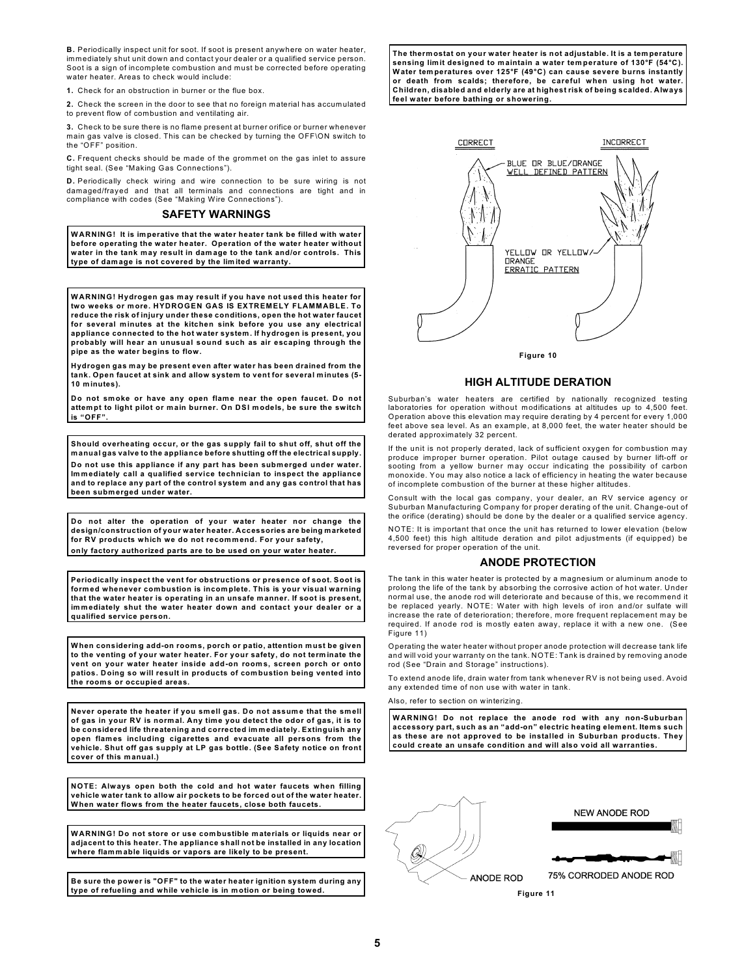**B.** Periodically inspect unit for soot. If soot is present anywhere on water heater, immediately shut unit down and contact your dealer or a qualified service person. Soot is a sign of incomplete combustion and must be corrected before operating water heater. Areas to check would include:

**1.** Check for an obstruction in burner or the flue box.

**2.** Check the screen in the door to see that no foreign material has accumulated to prevent flow of combustion and ventilating air.

**3.** Check to be sure there is no flame present at burner orifice or burner whenever main gas valve is closed. This can be checked by turning the OFF\ON switch to the "OFF" position.

**C.** Frequent checks should be made of the grommet on the gas inlet to assure tight seal. (See "Making Gas Connections").

**D.** Periodically check wiring and wire connection to be sure wiring is not damaged/frayed and that all terminals and connections are tight and in compliance with codes (See "Making Wire Connections").

#### **SAFETY WARNINGS**

**WARNING! It is im perative that the water heater tank be filled with water before operating the water heater. Operation of the water heater without water in the tank may result in dam age to the tank and/or controls. This type of damage is not covered by the lim ited warranty.**

**WARNING! Hydrogen gas m ay result if you have not used this heater for two weeks or more. HYDROGEN GAS IS EXTREMELY FLAMMABLE. To reduce the risk of injury under these conditions, open the hot water faucet for several minutes at the kitchen sink before you use any electrical appliance connected to the hot water system. If hydrogen is present, you probably will hear an unusual sound such as air escaping through the pipe as the water begins to flow.**

**Hydrogen gas m ay be present even after water has been drained from the tank. Open faucet at sink and allow system to vent for several minutes (5- 10 minutes).**

**Do not sm oke or have any open flam e near the open faucet. Do not attempt to light pilot or main burner. On DSI models, be sure the switch is "OFF".**

**Should overheating occur, or the gas supply fail to shut off, shut off the m anual gas valve to the appliance before shutting off the electrical supply. Do not use this appliance if any part has been subm erged under water. Im m ediately call a qualified service technician to inspect the appliance and to replace any part of the control system and any gas control that has been subm erged under water.**

**Do not alter the operation of your water heater nor change the design/construction of your water heater. Accessories are being marketed** for RV products which we do not recommend. For your safety **only factory authorized parts are to be used on your water heater.**

**Periodically inspect the vent for obstructions or presence of soot. Soot is form ed whenever combustion is incomplete. This is your visual warning that the water heater is operating in an unsafe manner. If soot is present, im m ediately shut the water heater down and contact your dealer or a qualified service person.**

**When considering add-on room s, porch or patio, attention must be given to the venting of your water heater. For your safety, do not term inate the vent on your water heater inside add-on room s, screen porch or onto patios. Doing so will result in products of com bustion being vented into the room s or occupied areas.**

Never operate the heater if you smell gas. Do not assume that the smell<br>of gas in your RV is normal. Any time you detect the odor of gas, it is to **be considered life threatening and corrected im m ediately. Extinguish any open flames including cigarettes and evacuate all persons from the vehicle. Shut off gas supply at LP gas bottle. (See Safety notice on front cover of this manual.)**

**NOTE: Always open both the cold and hot water faucets when filling vehicle water tank to allow air pockets to be forced out of the water heater. When water flows from the heater faucets, close both faucets.**

**WARNING! Do not store or use combustible m aterials or liquids near or adjacent to this heater. The appliance shall not be installed in any location where flam m able liquids or vapors are likely to be present.**

**Be sure the power is "OFF" to the water heater ignition system during any type of refueling and while vehicle is in motion or being towed.**

**The therm ostat on your water heater is not adjustable. It is a tem perature sensing lim it designed to maintain a water tem perature of 130°F (54°C). Water tem peratures over 125°F (49°C) can cause severe burns instantly or death from scalds; therefore, be careful when using hot water. Children, disabled and elderly are at highest risk of being scalded. Always feel water before bathing or showering.**



**Figure 10**

#### **HIGH ALTITUDE DERATION**

Suburban's water heaters are certified by nationally recognized testing laboratories for operation without modifications at altitudes up to 4,500 feet. Operation above this elevation may require derating by 4 percent for every 1,000 feet above sea level. As an example, at 8,000 feet, the water heater should be derated approximately 32 percent.

If the unit is not properly derated, lack of sufficient oxygen for combustion may produce improper burner operation. Pilot outage caused by burner lift-off or sooting from a yellow burner may occur indicating the possibility of carbon<br>monoxide. You may also notice a lack of efficiency in heating the water because of incomplete combustion of the burner at these higher altitudes.

Consult with the local gas company, your dealer, an RV service agency or Suburban Manufacturing Company for proper derating of the unit. Change-out of the orifice (derating) should be done by the dealer or a qualified service agency.

NOTE: It is important that once the unit has returned to lower elevation (below 4,500 feet) this high altitude deration and pilot adjustments (if equipped) be reversed for proper operation of the unit.

#### **ANODE PROTECTION**

The tank in this water heater is protected by a magnesium or aluminum anode to prolong the life of the tank by absorbing the corrosive action of hot water. Under normal use, the anode rod will deteriorate and because of this, we recommend it be replaced yearly. NOTE: Water with high levels of iron and/or sulfate will increase the rate of deterioration; therefore, m ore frequent replacement may be required. If anode rod is mostly eaten away, replace it with a new one. (See Figure 11)

Operating the water heater without proper anode protection will decrease tank life and will void your warranty on the tank. NOTE: Tank is drained by removing anode rod (See "Drain and Storage" instructions).

To extend anode life, drain water from tank whenever RV is not being used. Avoid any extended time of non use with water in tank.

Also, refer to section on winterizing.

**WARNING! Do not replace the anode rod with any non-Suburban accessory part, such as an "add-on" electric heating element. Items such as these are not approved to be installed in Suburban products. They could create an unsafe condition and will also void all warranties.**



**Figure 11**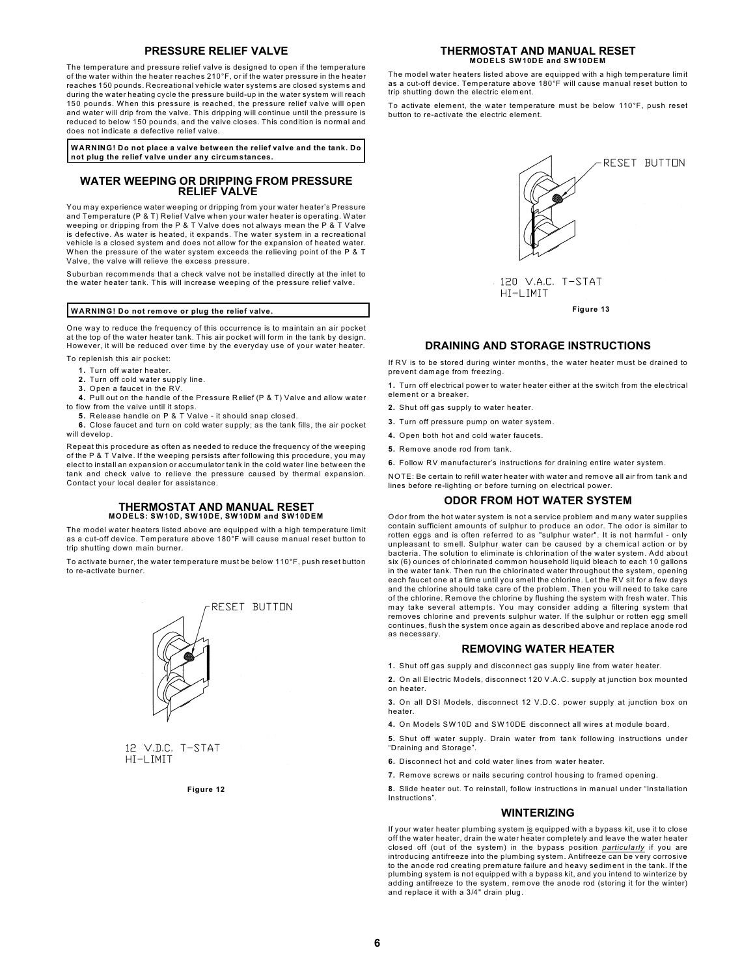#### **PRESSURE RELIEF VALVE**

The temperature and pressure relief valve is designed to open if the temperature of the water within the heater reaches 210°F, or if the water pressure in the heater reaches 150 pounds. Recreational vehicle water systems are closed systems and during the water heating cycle the pressure build-up in the water system will reach 150 pounds. When this pressure is reached, the pressure relief valve will open and water will drip from the valve. This dripping will continue until the pressure is reduced to below 150 pounds, and the valve closes. This condition is normal and does not indicate a defective relief valve.

**WARNING! Do not place a valve between the relief valve and the tank. Do not plug the relief valve under any circumstances.**

#### **WATER WEEPING OR DRIPPING FROM PRESSURE RELIEF VALVE**

You may experience water weeping or dripping from your water heater's Pressure and Temperature (P & T) Relief Valve when your water heater is operating. Water weeping or dripping from the P & T Valve does not always mean the P & T Valve is defective. As water is heated, it expands. The water system in a recreational vehicle is a closed system and does not allow for the expansion of heated water. When the pressure of the water system exceeds the relieving point of the P & T Valve, the valve will relieve the excess pressure.

Suburban recommends that a check valve not be installed directly at the inlet to the water heater tank. This will increase weeping of the pressure relief valve.

#### **WARNING! Do not remove or plug the relief valve.**

One way to reduce the frequency of this occurrence is to maintain an air pocket at the top of the water heater tank. This air pocket will form in the tank by design. However, it will be reduced over time by the everyday use of your water heater.

To replenish this air pocket:

- **1.** Turn off water heater.
- **2.** Turn off cold water supply line.
- **3.** Open a faucet in the RV.
- **4.** Pull out on the handle of the Pressure Relief (P & T) Valve and allow water to flow from the valve until it stops.
	- **5.** Release handle on P & T Valve it should snap closed.

**6.** Close faucet and turn on cold water supply; as the tank fills, the air pocket will develop.

Repeat this procedure as often as needed to reduce the frequency of the weeping of the P & T Valve. If the weeping persists after following this procedure, you may elect to install an expansion or accumulator tank in the cold water line between the tank and check valve to relieve the pressure caused by thermal expansion. Contact your local dealer for assistance.

## **THERMOSTAT AND MANUAL RESET MODELS: SW10D, SW10DE, SW10DM and SW10DEM**

The model water heaters listed above are equipped with a high temperature limit as a cut-off device. Temperature above 180°F will cause m anual reset button to trip shutting down main burner.

To activate burner, the water temperature must be below 110°F, push reset button to re-activate burner.



12 V.D.C. T-STAT HT-I TMTT

**Figure 12**

## **THERMOSTAT AND MANUAL RESET MODELS SW10DE and SW10DEM**

The model water heaters listed above are equipped with a high temperature limit as a cut-off device. Temperature above 180°F will cause manual reset button to trip shutting down the electric element.

To activate element, the water temperature must be below 110°F, push reset button to re-activate the electric element.



## **DRAINING AND STORAGE INSTRUCTIONS**

If RV is to be stored during winter months, the w ater heater must be drained to prevent damage from freezing.

**1.** Turn off electrical power to water heater either at the switch from the electrical element or a breaker.

- **2.** Shut off gas supply to water heater.
- **3.** Turn off pressure pump on water system.
- **4.** Open both hot and cold water faucets.
- **5.** Remove anode rod from tank.

**6.** Follow RV manufacturer's instructions for draining entire water system.

NOTE: Be certain to refill water heater with water and remove all air from tank and lines before re-lighting or before turning on electrical power.

#### **ODOR FROM HOT WATER SYSTEM**

Odor from the hot water system is not a service problem and many water supplies contain sufficient amounts of sulphur to produce an odor. The odor is similar to rotten eggs and is often referred to as "sulphur water". It is not harmful - only unpleasant to smell. Sulphur water can be caused by a chemical action or by bacteria. The solution to eliminate is chlorination of the water system. Add about six (6) ounces of chlorinated common household liquid bleach to each 10 gallons in the water tank. Then run the chlorinated water throughout the system, opening each faucet one at a time until you smell the chlorine. Let the RV sit for a few days and the chlorine should take care of the problem. Then you will need to take care of the chlorine. Remove the chlorine by flushing the system with fresh water. This may take several attem pts. You may consider adding a filtering system that removes chlorine and prevents sulphur water. If the sulphur or rotten egg smell continues, flush the system once again as described above and replace anode rod as necessary.

### **REMOVING WATER HEATER**

- **1.** Shut off gas supply and disconnect gas supply line from water heater.
- **2.** On all Electric Models, disconnect 120 V.A.C. supply at junction box mounted on heater.

**3.** On all DSI Models, disconnect 12 V.D.C. power supply at junction box on heater.

**4.** On Models SW10D and SW10DE disconnect all wires at module board.

**5.** Shut off water supply. Drain water from tank follow ing instructions under "Draining and Storage".

- **6.** Disconnect hot and cold water lines from water heater.
- **7.** Remove screws or nails securing control housing to framed opening.

**8.** Slide heater out. To reinstall, follow instructions in manual under "Installation Instructions".

#### **WINTERIZING**

If your water heater plumbing system is equipped with a bypass kit, use it to close off the water heater, drain the water heater completely and leave the water heater closed off (out of the system) in the bypass position *particularly* if you are introducing antifreeze into the plumbing system. Antifreeze can be very corrosive to the anode rod creating premature failure and heavy sediment in the tank. If the plumbing system is not equipped with a bypass kit, and you intend to winterize by adding antifreeze to the system, remove the anode rod (storing it for the winter) and replace it with a 3/4" drain plug.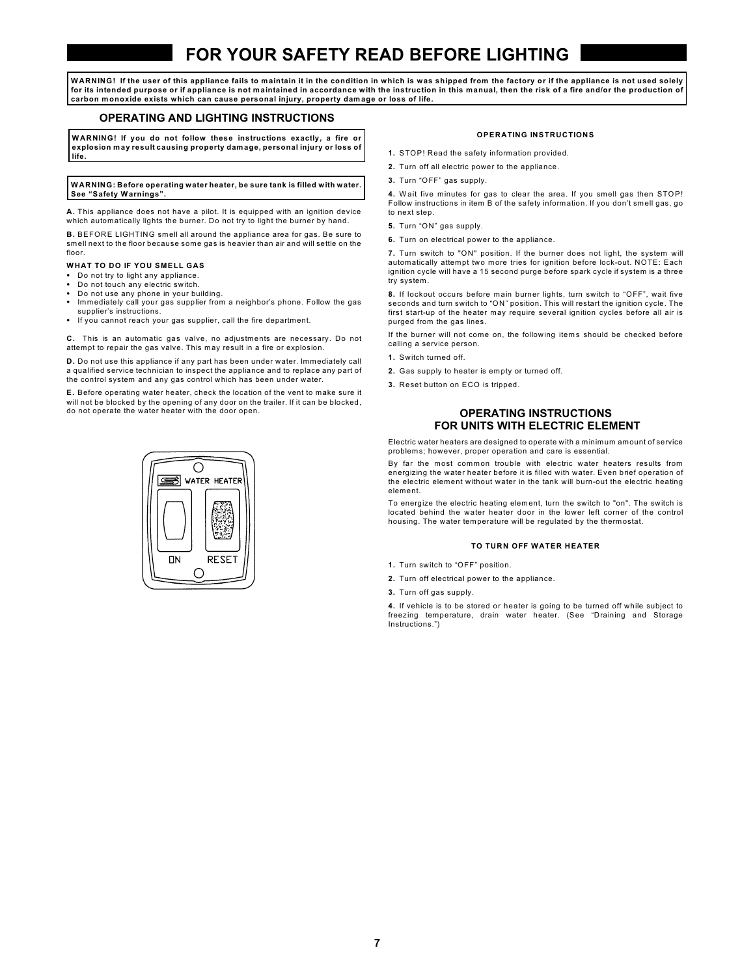# **FOR YOUR SAFETY READ BEFORE LIGHTING**

**WARNING! If the user of this appliance fails to maintain it in the condition in which is was shipped from the factory or if the appliance is not used solely for its intended purpose or if appliance is not m aintained in accordance with the instruction in this manual, then the risk of a fire and/or the production of carbon monoxide exists which can cause personal injury, property dam age or loss of life.**

### **OPERATING AND LIGHTING INSTRUCTIONS**

**WARNING! If you do not follow these instructions exactly, a fire or explosion may result causing property dam age, personal injury or loss of life.**

#### **WARNING: Before operating water heater, be sure tank is filled with water. See "Safety Warnings".**

**A.** This appliance does not have a pilot. It is equipped with an ignition device which automatically lights the burner. Do not try to light the burner by hand.

**B.** BEFORE LIGHTING smell all around the appliance area for gas. Be sure to smell next to the floor because some gas is heavier than air and will settle on the floor

#### **WHAT TO DO IF YOU SMELL GAS**

- Do not try to light any appliance.
- Do not touch any electric switch.
- Do not use any phone in your building. Immediately call your gas supplier from a neighbor's phone. Follow the gas supplier's instructions.
- If you cannot reach your gas supplier, call the fire department.

**C.** This is an automatic gas valve, no adjustments are necessary. Do not attempt to repair the gas valve. This may result in a fire or explosion.

**D.** Do not use this appliance if any part has been under water. Immediately call a qualified service technician to inspect the appliance and to replace any part of the control system and any gas control which has been under water.

**E.** Before operating water heater, check the location of the vent to make sure it will not be blocked by the opening of any door on the trailer. If it can be blocked, do not operate the water heater with the door open.



#### **OPERATING INSTRUCTIONS**

- **1.** STOP! Read the safety information provided.
- **2.** Turn off all electric power to the appliance.
- **3.** Turn "OFF" gas supply.

4. Wait five minutes for gas to clear the area. If you smell gas then STOP! Follow instructions in item B of the safety information. If you don't smell gas, go to next step.

- **5.** Turn "ON" gas supply.
- **6.** Turn on electrical power to the appliance.

**7.** Turn switch to "ON" position. If the burner does not light, the system will automatically attempt two more tries for ignition before lock-out. NOTE: Each ignition cycle will have a 15 second purge before spark cycle if system is a three try system.

**8.** If lockout occurs before main burner lights, turn switch to "OFF", wait five seconds and turn switch to "ON" position. This will restart the ignition cycle. The first start-up of the heater may require several ignition cycles before all air is purged from the gas lines.

If the burner will not come on, the following items should be checked before calling a service person.

- **1.** Switch turned off.
- **2.** Gas supply to heater is empty or turned off.
- **3.** Reset button on ECO is tripped.

### **OPERATING INSTRUCTIONS FOR UNITS WITH ELECTRIC ELEMENT**

Electric water heaters are designed to operate with a minimum amount of service problems; however, proper operation and care is essential.

By far the most common trouble with electric water heaters results from energizing the water heater before it is filled with water. Even brief operation of the electric element without water in the tank will burn-out the electric heating element.

To energize the electric heating element, turn the switch to "on". The switch is located behind the water heater door in the lower left corner of the control housing. The water temperature will be regulated by the thermostat.

#### **TO TURN OFF WATER HEATER**

- **1.** Turn switch to "OFF" position.
- **2.** Turn off electrical power to the appliance.
- **3.** Turn off gas supply.

**4.** If vehicle is to be stored or heater is going to be turned off while subject to freezing temperature, drain water heater. (See "Draining and Storage Instructions.")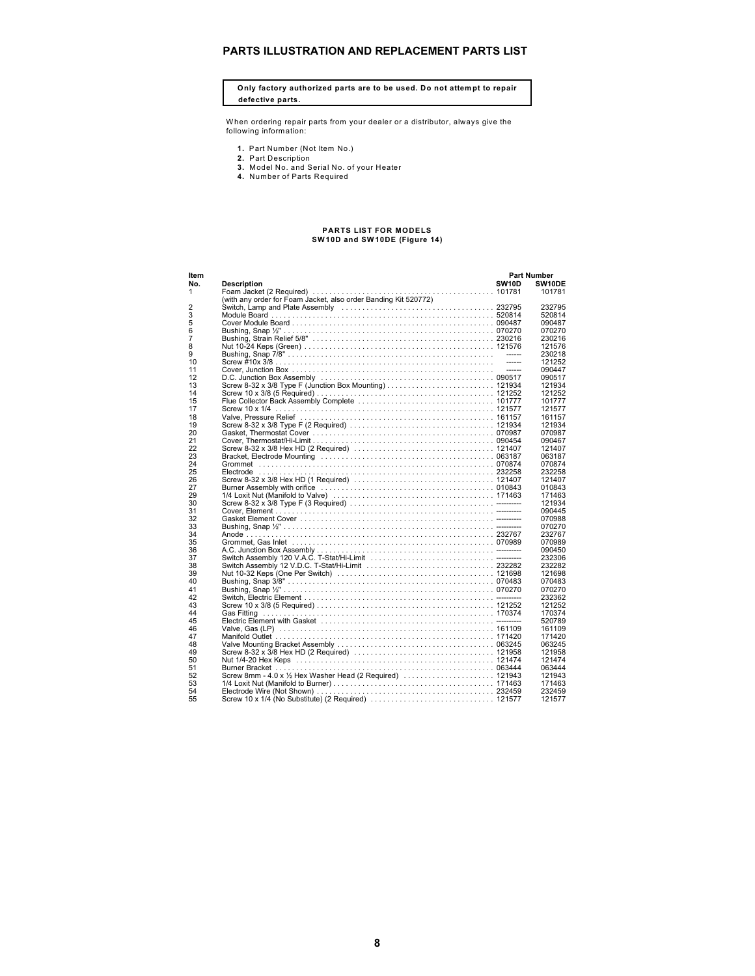## **PARTS ILLUSTRATION AND REPLACEMENT PARTS LIST**

**Only factory authorized parts are to be used. Do not attempt to repair defective parts.**

When ordering repair parts from your dealer or a distributor, always give the following information:

- 
- 
- **1.** Part Number (Not Item No.)<br>**2.** Part Description<br>3. Model No. and Serial No. of your Heater<br>**4.** Number of Parts Required
- 

## **PARTS LIST FOR MODELS SW10D and SW 10DE (Figure 14)**

| Item           |                                                                 |              | <b>Part Number</b> |
|----------------|-----------------------------------------------------------------|--------------|--------------------|
| No.            | <b>Description</b>                                              | <b>SW10D</b> | SW10DE             |
| 1              |                                                                 |              | 101781             |
|                | (with any order for Foam Jacket, also order Banding Kit 520772) |              |                    |
| $\overline{2}$ |                                                                 |              | 232795             |
| 3              |                                                                 |              | 520814             |
| 5              |                                                                 |              | 090487             |
| 6              |                                                                 |              | 070270             |
| $\overline{7}$ |                                                                 |              | 230216             |
| 8              |                                                                 |              | 121576             |
| 9              |                                                                 |              | 230218             |
| 10             |                                                                 |              | 121252             |
| 11             |                                                                 | -------      | 090447             |
| 12             |                                                                 |              | 090517             |
| 13             |                                                                 |              | 121934             |
| 14             |                                                                 |              | 121252             |
| 15             |                                                                 |              | 101777             |
| 17             |                                                                 |              | 121577             |
| 18             |                                                                 |              | 161157             |
| 19             |                                                                 |              | 121934             |
| 20             |                                                                 |              | 070987             |
| 21             |                                                                 |              | 090467             |
| 22             |                                                                 |              | 121407             |
| 23             |                                                                 |              | 063187             |
| 24             |                                                                 |              | 070874             |
| 25             |                                                                 |              | 232258             |
| 26             |                                                                 |              | 121407             |
| 27             |                                                                 |              | 010843             |
| 29             |                                                                 |              | 171463             |
| 30             |                                                                 |              | 121934             |
| 31             |                                                                 |              | 090445             |
| 32             |                                                                 |              | 070988             |
| 33             |                                                                 |              | 070270             |
| 34             |                                                                 |              | 232767             |
| 35             |                                                                 |              | 070989             |
| 36             |                                                                 |              | 090450             |
| 37             |                                                                 |              | 232306             |
| 38             |                                                                 |              | 232282             |
| 39             |                                                                 |              | 121698             |
| 40             |                                                                 |              | 070483             |
| 41             |                                                                 |              | 070270             |
| 42             |                                                                 |              | 232362             |
| 43             |                                                                 |              | 121252             |
| 44             |                                                                 |              | 170374             |
| 45             |                                                                 |              | 520789             |
| 46             |                                                                 |              | 161109             |
| 47             |                                                                 |              | 171420             |
| 48             |                                                                 |              | 063245             |
| 49             |                                                                 |              | 121958             |
| 50             |                                                                 |              | 121474             |
| 51             |                                                                 |              | 063444             |
| 52             |                                                                 |              | 121943             |
| 53             |                                                                 |              | 171463             |
| 54             |                                                                 |              | 232459             |
| 55             |                                                                 |              | 121577             |
|                |                                                                 |              |                    |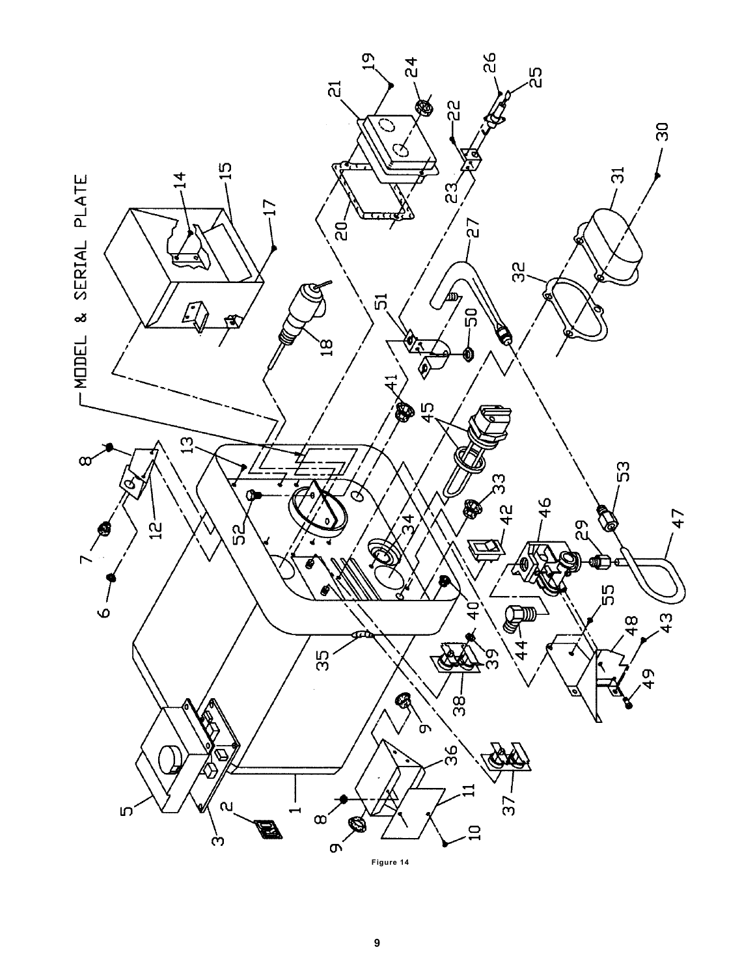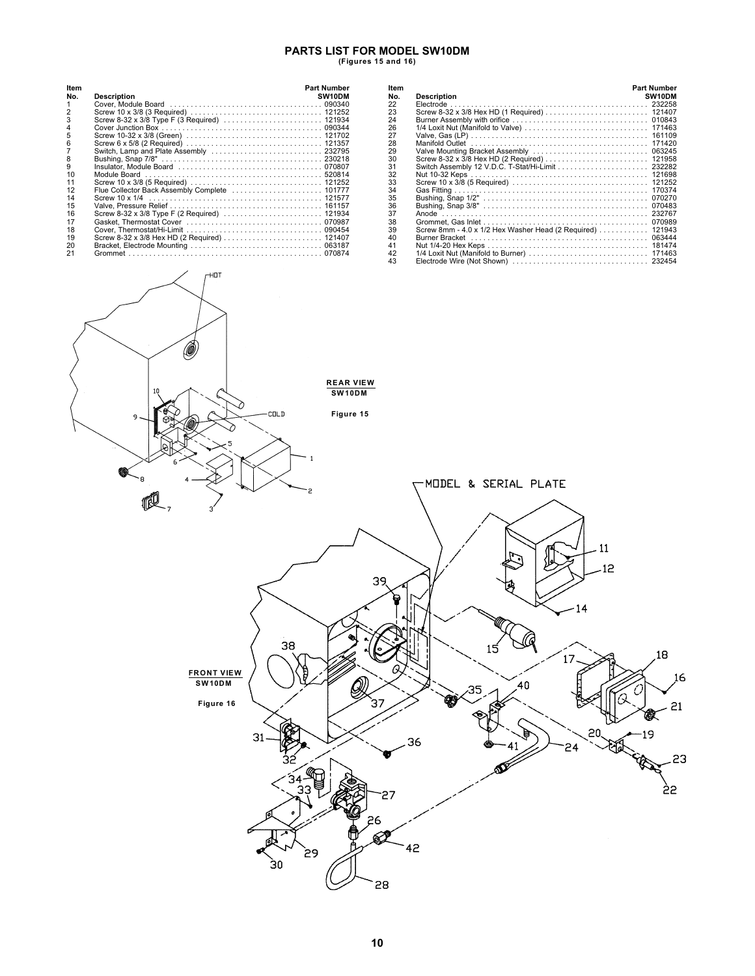## **PARTS LIST FOR MODEL SW10DM (Figures 15 and 16)**

| Item |                                               | <b>Part Number</b>  |
|------|-----------------------------------------------|---------------------|
| No.  | <b>Description</b>                            | SW <sub>10</sub> DM |
| 1    |                                               |                     |
| 2    |                                               |                     |
| 3    |                                               |                     |
| 4    |                                               |                     |
| 5    |                                               |                     |
| 6    |                                               |                     |
|      | Switch, Lamp and Plate Assembly  232795       |                     |
| 8    |                                               |                     |
| 9    |                                               |                     |
| 10   |                                               |                     |
| 11   |                                               |                     |
| 12   | Flue Collector Back Assembly Complete  101777 |                     |
| 14   |                                               |                     |
| 15   |                                               |                     |
| 16   |                                               |                     |
| 17   |                                               |                     |
| 18   |                                               |                     |
| 19   |                                               |                     |
| 20   |                                               |                     |
| 21   |                                               |                     |

| Item<br>No. |                                                                                                                | <b>Part Number</b><br>SW10DM |
|-------------|----------------------------------------------------------------------------------------------------------------|------------------------------|
|             | <b>Description</b>                                                                                             |                              |
| 22          |                                                                                                                |                              |
| 23          |                                                                                                                |                              |
| 24          |                                                                                                                |                              |
| 26          |                                                                                                                |                              |
| 27          |                                                                                                                |                              |
| 28          |                                                                                                                |                              |
| 29          |                                                                                                                |                              |
| 30          |                                                                                                                |                              |
| 31          |                                                                                                                |                              |
| 32          |                                                                                                                |                              |
| 33          |                                                                                                                |                              |
| 34          |                                                                                                                |                              |
| 35          |                                                                                                                |                              |
| 36          |                                                                                                                |                              |
| 37          |                                                                                                                |                              |
| 38          |                                                                                                                |                              |
|             |                                                                                                                |                              |
| 39          | Screw 8mm - 4.0 x 1/2 Hex Washer Head (2 Required)  121943                                                     |                              |
| 40          | Burner Bracket (and all and all and all and all and all and all and all and all and all and all and all and al |                              |
| 41          |                                                                                                                |                              |
| 42          |                                                                                                                |                              |
| 43          |                                                                                                                |                              |

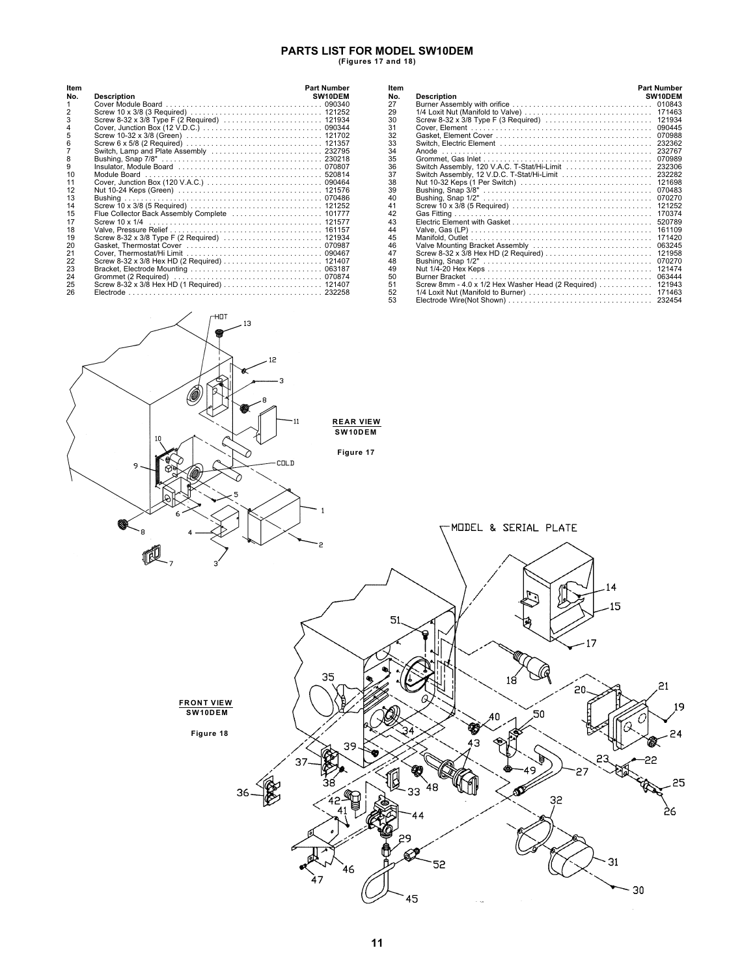## **PARTS LIST FOR MODEL SW10DEM (Figures 17 and 18)**

| Item           |                                         | <b>Part Number</b> |
|----------------|-----------------------------------------|--------------------|
| No.            | <b>Description</b>                      | SW10DEM            |
| 1              |                                         |                    |
| $\overline{2}$ |                                         |                    |
| 3              |                                         |                    |
| 4              |                                         |                    |
| 5              |                                         |                    |
| 6              |                                         |                    |
| $\overline{7}$ | Switch, Lamp and Plate Assembly  232795 |                    |
| 8              |                                         |                    |
| 9              |                                         |                    |
| 10             |                                         |                    |
| 11             |                                         |                    |
| 12             |                                         |                    |
| 13             |                                         |                    |
| 14             |                                         |                    |
| 15             |                                         |                    |
| 17             |                                         |                    |
| 18             |                                         |                    |
| 19             |                                         |                    |
| 20             |                                         |                    |
| 21             |                                         |                    |
| 22             |                                         |                    |
| 23             |                                         |                    |
| 24             |                                         |                    |
| 25             |                                         |                    |
| 26             |                                         |                    |

| ltem |                                                     | <b>Part Number</b> |
|------|-----------------------------------------------------|--------------------|
| No.  | <b>Description</b>                                  | SW10DEM            |
| 27   |                                                     |                    |
| 29   |                                                     |                    |
| 30   |                                                     | 121934             |
| 31   |                                                     | 090445             |
| 32   |                                                     | 070988             |
| 33   |                                                     |                    |
| 34   |                                                     |                    |
| 35   |                                                     | 070989             |
| 36   | Switch Assembly, 120 V.A.C. T-Stat/Hi-Limit  232306 |                    |
| 37   |                                                     |                    |
| 38   |                                                     | 121698             |
| 39   |                                                     | 070483             |
| 40   |                                                     | 070270             |
| 41   |                                                     | 121252             |
| 42   |                                                     | 170374             |
| 43   |                                                     | 520789             |
| 44   |                                                     | 161109             |
| 45   |                                                     | 171420             |
| 46   |                                                     | 063245             |
| 47   |                                                     | 121958             |
| 48   |                                                     | 070270             |
| 49   |                                                     | 121474             |
| 50   |                                                     | 063444             |
| 51   | Screw 8mm - 4.0 x 1/2 Hex Washer Head (2 Required)  | 121943             |
| 52   |                                                     |                    |
| 53   |                                                     |                    |